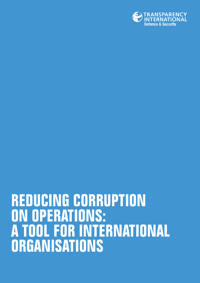

# **REDUCING CORRUPTION ON OPERATIONS: A TOOL FOR INTERNATIONAL ORGANISATIONS**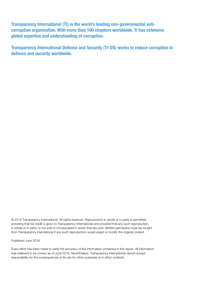Transparency International (TI) is the world's leading non-governmental anticorruption organisation. With more than 100 chapters worldwide, TI has extensive global expertise and understanding of corruption.

Transparency International Defence and Security (TI-DS) works to reduce corruption in defence and security worldwide.

© 2018 Transparency International. All rights reserved. Reproduction in whole or in parts is permitted, providing that full credit is given to Transparency International and provided that any such reproduction, in whole or in parts, is not sold or incorporated in works that are sold. Written permission must be sought from Transparency International if any such reproduction would adapt or modify the original content.

Published June 2018.

Every effort has been made to verify the accuracy of the information contained in this report. All information was believed to be correct as of June 2018. Nevertheless, Transparency International cannot accept responsibility for the consequences of its use for other purposes or in other contexts.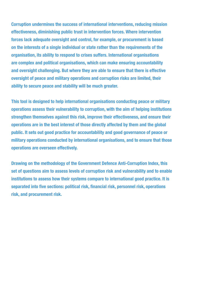Corruption undermines the success of international interventions, reducing mission effectiveness, diminishing public trust in intervention forces. Where intervention forces lack adequate oversight and control, for example, or procurement is based on the interests of a single individual or state rather than the requirements of the organisation, its ability to respond to crises suffers. International organisations are complex and political organisations, which can make ensuring accountability and oversight challenging. But where they are able to ensure that there is effective oversight of peace and military operations and corruption risks are limited, their ability to secure peace and stability will be much greater.

This tool is designed to help international organisations conducting peace or military operations assess their vulnerability to corruption, with the aim of helping institutions strengthen themselves against this risk, improve their effectiveness, and ensure their operations are in the best interest of those directly affected by them and the global public. It sets out good practice for accountability and good governance of peace or military operations conducted by international organisations, and to ensure that those operations are overseen effectively.

Drawing on the methodology of the Government Defence Anti-Corruption Index, this set of questions aim to assess levels of corruption risk and vulnerability and to enable institutions to assess how their systems compare to international good practice. It is separated into five sections: political risk, financial risk, personnel risk, operations risk, and procurement risk.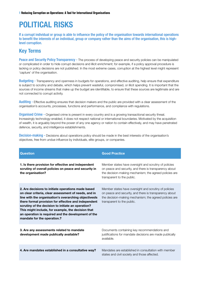# POLITICAL RISKS

If a corrupt individual or group is able to influence the policy of the organisation towards international operations to benefit the interests of an individual, group or company rather than the aims of the organisation, this is highlevel corruption.

### Key Terms

Peace and Security Policy Transparency - The process of developing peace and security policies can be manipulated or complicated in order to hide corrupt decisions and illicit enrichment; for example, if a policy approval procedure is lacking or policy decisions are not published. In the most extreme cases, corruption at the highest level might represent 'capture' of the organisation.

Budgeting - Transparency and openness in budgets for operations, and effective auditing, help ensure that expenditure is subject to scrutiny and debate, which helps prevent wasteful, compromised, or illicit spending. It is important that the sources of income streams that make up the budget are identifiable, to ensure that these sources are legitimate and are not connected to corrupt activity.

Auditing - Effective auditing ensures that decision makers and the public are provided with a clear assessment of the organisation's accounts, processes, functions and performance, and compliance with regulations.

Organised Crime - Organised crime is present in every country and is a growing transactional security threat. Increasingly technology-enabled, it does not respect national or international boundaries. Motivated by the acquisition of wealth, it is arguably beyond the power of any one agency or nation to contain effectively, and may have penetrated defence, security, and intelligence establishments.

Decision-making - Decisions about operations policy should be made in the best interests of the organisation's objectives, free from undue influence by individuals, elite groups, or companies.

| <b>Question</b>                                                                                                                                                                                                                                                                                                                                                                                                               | <b>Good Practice</b>                                                                                                                                                                                    |
|-------------------------------------------------------------------------------------------------------------------------------------------------------------------------------------------------------------------------------------------------------------------------------------------------------------------------------------------------------------------------------------------------------------------------------|---------------------------------------------------------------------------------------------------------------------------------------------------------------------------------------------------------|
| 1. Is there provision for effective and independent<br>scrutiny of overall policies on peace and security in<br>the organisation?                                                                                                                                                                                                                                                                                             | Member states have oversight and scrutiny of policies<br>on peace and security, and there is transparency about<br>the decision-making mechanism; the agreed policies are<br>transparent to the public. |
| 2. Are decisions to initiate operations made based<br>on clear criteria, clear assessment of needs, and in<br>line with the organisation's overarching objectivesIs<br>there formal provision for effective and independent<br>scrutiny of the decision to initiate an operation?<br>This might include, for example, the decision that<br>an operation is required and the development of the<br>mandate for the operation.? | Member states have oversight and scrutiny of policies<br>on peace and security, and there is transparency about<br>the decision-making mechanism; the agreed policies are<br>transparent to the public. |
| 3. Are any assessments related to mandate<br>development made publically available?                                                                                                                                                                                                                                                                                                                                           | Documents containing key recommendations and<br>justifications for mandate decisions are made publically<br>available.                                                                                  |
| 4. Are mandates established in a consultative way?                                                                                                                                                                                                                                                                                                                                                                            | Mandates are established in consultation with member<br>states and civil society and those affected.                                                                                                    |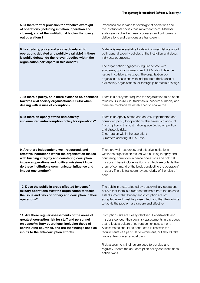| 5. Is there formal provision for effective oversight<br>of operations (including initiation, operation and<br>closure), and of the institutional bodies that carry<br>out operations?                                                                                                     | Processes are in place for oversight of operations and<br>the institutional bodies that implement them. Member<br>states are involved in these processes and outcomes of<br>deliberations and decisions are transparent.                                                                                                                                                                                                                    |
|-------------------------------------------------------------------------------------------------------------------------------------------------------------------------------------------------------------------------------------------------------------------------------------------|---------------------------------------------------------------------------------------------------------------------------------------------------------------------------------------------------------------------------------------------------------------------------------------------------------------------------------------------------------------------------------------------------------------------------------------------|
| 6. Is strategy, policy and approach related to<br>operations debated and publicly available? If there<br>is public debate, do the relevant bodies within the<br>organisation participate in this debate?                                                                                  | Material is made available to allow informed debate about<br>both general security policies of the institution and about<br>individual operations.<br>The organisation engages in regular debate with<br>academia, opinion-formers, and CSOs about defence<br>issues in collaborative ways. The organisation co-<br>organises discussions with independent think tanks or<br>civil society organisations, or through joint media briefings. |
| 7. Is there a policy, or is there evidence of, openness<br>towards civil society organisations (CSOs) when<br>dealing with issues of corruption?                                                                                                                                          | There is a policy that requires the organisation to be open<br>towards CSOs (NGOs, think tanks, academia, media) and<br>there are mechanisms established to enable this.                                                                                                                                                                                                                                                                    |
| 8. Is there an openly stated and actively<br>implemented anti-corruption policy for operations?                                                                                                                                                                                           | There is an openly stated and actively implemented anti-<br>corruption policy for operations, that takes into account<br>1) corruption in the host nation space (including political<br>and strategic risks;<br>2) corruption within the operation;<br>3) matters affecting TCNs/TPNs                                                                                                                                                       |
| 9. Are there independent, well-resourced, and<br>effective institutions within the organisation tasked<br>with building integrity and countering corruption<br>in peace operations and political missions? How<br>do these institutions communicate, influence and<br>impact one another? | There are well-resourced, and effective institutions<br>within the organisation tasked with building integrity and<br>countering corruption in peace operations and political<br>missions. These include institutions which are outside the<br>chain of command of the body conducting the operation/<br>mission. There is transparency and clarity of the roles of<br>each.                                                                |
| 10. Does the public in areas affected by peace/<br>military operations trust the organisation to tackle<br>the issue and risks of bribery and corruption in their<br>operations?                                                                                                          | The public in areas affected by peace/military operations<br>believe that there is a clear commitment from the defence<br>establishment that bribery and corruption are not<br>acceptable and must be prosecuted, and that their efforts<br>to tackle the problem are sincere and effective.                                                                                                                                                |
| 11. Are there regular assessments of the areas of<br>greatest corruption risk for staff and personnel<br>on peace/military operations, including those of<br>contributing countries, and are the findings used as<br>inputs to the anti-corruption efforts?                               | Corruption risks are clearly identified. Departments and<br>missions conduct their own risk assessments in a process<br>that reflects a culture of corruption risk assessment.<br>Assessments should be conducted in line with the<br>requirements of a particular environment, but should take<br>place at least on an annual basis.                                                                                                       |
|                                                                                                                                                                                                                                                                                           | Risk assessment findings are used to develop and<br>regularly update the anti-corruption policy and institutional<br>action plans.                                                                                                                                                                                                                                                                                                          |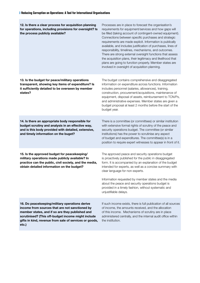| 12. Is there a clear process for acquisition planning<br>for operations, including provisions for oversight? Is<br>the process publicly available?                                                                                                                           | Processes are in place to forecast the organisation's<br>requirements for equipment/services and how gaps will<br>be filled (taking account of contingent-owned equipment).<br>Connections between specific purchases and strategic<br>requirements are made explicit. Information is publically<br>available, and includes justification of purchases, lines of<br>responsibility, timelines, mechanisms, and outcomes.<br>There are strong external oversight functions that assess<br>the acquisition plans, their legitimacy and likelihood that<br>plans are going to function properly. Member states are<br>involved in oversight of acquisition planning. |
|------------------------------------------------------------------------------------------------------------------------------------------------------------------------------------------------------------------------------------------------------------------------------|-------------------------------------------------------------------------------------------------------------------------------------------------------------------------------------------------------------------------------------------------------------------------------------------------------------------------------------------------------------------------------------------------------------------------------------------------------------------------------------------------------------------------------------------------------------------------------------------------------------------------------------------------------------------|
| 13. Is the budget for peace/military operations<br>transparent, showing key items of expenditure? Is<br>it sufficiently detailed to be overseen by member<br>states?                                                                                                         | The budget contains comprehensive and disaggregated<br>information on expenditure across functions. Information<br>includes personnel (salaries, allowances), training,<br>construction, procurement/acquisitions, maintenance of<br>equipment, disposal of assets, reimbursement to TCN/Ps,<br>and administrative expenses. Member states are given a<br>budget proposal at least 2 months before the start of the<br>budget year.                                                                                                                                                                                                                               |
| 14. Is there an appropriate body responsible for<br>budget scrutiny and analysis in an effective way,<br>and is this body provided with detailed, extensive,<br>and timely information on the buget?                                                                         | There is a committee (or committees) or similar institution<br>with extensive formal rights of scrutiny of the peace and<br>security operations budget. The committee (or similar<br>institutions) has the power to scrutinise any aspect<br>of budget and expenditures. The committee(s) is in a<br>position to require expert witnesses to appear in front of it.                                                                                                                                                                                                                                                                                               |
| 15. Is the approved budget for peacekeeping/<br>military operations made publicly available? In<br>practice can the public, civil society, and the media,<br>obtain detailed information on the budget?                                                                      | The approved peace and security operations budget<br>is proactively published for the public in disaggregated<br>form. It is accompanied by an explanation of the budget<br>intended for experts, as well as a concise summary with<br>clear language for non-experts.<br>Information requested by member states and the media<br>about the peace and security operations budget is<br>provided in a timely fashion, without systematic and<br>unjustifiable delays.                                                                                                                                                                                              |
| 16. Do peacekeeping/military operations derive<br>income from sources that are not sanctioned by<br>member states, and if so are they published and<br>scrutinised? (This off-budget income might include<br>gifts in kind, revenue from sale of services or goods,<br>etc.) | If such income exists, there is full publication of all sources<br>of income, the amounts received, and the allocation<br>of this income. Mechanisms of scrutiny are in place<br>administered centrally, and the internal audit office within<br>the institution.                                                                                                                                                                                                                                                                                                                                                                                                 |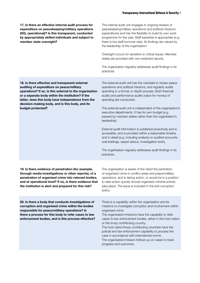17. Is there an effective internal audit process for expenditure on peacekeeping/military operations (HQ, operational)? Is this transparent, conducted by appropriately skilled individuals and subject to member state oversight?

The internal audit unit engages in ongoing reviews of peacekeeping/military operations and political missions' expenditures and has the flexibility to build its own work programme for the year. Staff expertise is appropriate (e.g. there is low staff turnover rate). Its findings are valued by the leadership of the organisation.

Oversight occurs for sensitive or critical issues. Member states are provided with non-redacted reports.

The organisation regularly addresses audit findings in its practices.

The external audit unit has the mandate to review peace operations and political missions, and regularly audits spending in a formal, in-depth process. Both financial audits and performance audits (value for money) of

The external audit unit is independent of the organisation's

executive departments. It has its own budget (e.g. passed by member states rather than the organisation's

spending are conducted.

leadership).

18. Is there effective and transparent external auditing of expenditure on peace/military operations? If so, is this external to the organisation or a separate body within the institution? If the latter, does this body have independence from the decision-making body, and is this body, and its budget protected?

> External audit information is published proactively and is accessible, and is provided within a reasonable timeline and in detail (e.g. including analysis on audited accounts, oral briefings, expert advice, investigative work).

The organisation regularly addresses audit findings in its practices.

The organisation is aware of the riskof the pentration of organised crime in conflict areas and peace/military operations, and is taking action, or would be in a position to take action quickly should organised criminal activity

19. Is there evidence of penetration (for example, through media investigations or other reports), of a penetration of organised crime into relevant bodies, and at operational level? If no, is there evidence that the institution is alert and prepared for this risk?

take place. The issue is included in the anti-corruption policy. 20. Is there a body that conducts investigations of corruption and organised crime within the bodies

responsible for peace/military operations? Is there a process for this body to refer cases to law enforcement bodies, and is this process effective? There is a capability within the organisation and its missions to investigate corruption and involvement within organised crime.

The organisation/missions have the capability to refer cases to law enforcement bodies, either in the host nation or the troop contributing country.

The host nation/troop contributing countries have the judicial and law enforcement capability to process the case in accordance with international norms. The organisation/mission follows up on cases to track progress and outcomes.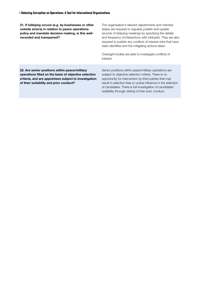21. If lobbying occurs (e.g. by businesses or other outside actors) in relation to peace operations policy and mandate decision-making, is this wellrecorded and transparent? The organisation's relevant departments and member states are required to regularly publish and update records of lobbying meetings by specifying the details and frequency of interactions with lobbyists. They are also required to publish any conflicts of interest risks that have been identified and the mitigating actions taken. Oversight bodies are able to investigate conflicts of interest. 22. Are senior positions within peace/military operations filled on the basis of objective selection criteria, and are appointees subject to investigation of their suitability and prior conduct? Senior positions within peace/military operations are subject to objective selection criteria. There is no opportunity for intervention by third parties that may result in selection bias or undue influence in the selection of candidates. There is full investigation of candidates' suitability through vetting of their prior conduct.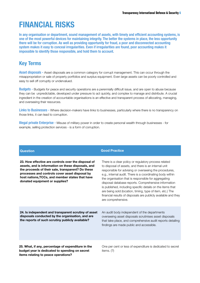# FINANCIAL RISKS

In any organisation or department, sound management of assets, with timely and efficient accounting systems, is one of the most powerful devices for maintaining integrity. The better the systems in place, the less opportunity there will be for corruption. As well as providing opportunity for fraud, a poor and disconnected accounting system makes it easy to conceal irregularities. Even if irregularities are found, poor accounting makes it impossible to identify those responsible, and hold them to account.

# Key Terms

Asset disposals - Asset disposals are a common category for corrupt management. This can occur through the misappropriation or sale of property portfolios and surplus equipment. Even large assets can be poorly controlled and easy to sell off corruptly or undervalued.

Budgets - Budgets for peace and security operations are a perennially difficult issue, and are open to abuse because they can be unpredictable, developed under pressure to act quickly, and complex to manage and distribute. A crucial ingredient in the creation of accountable organisations is an effective and transparent process of allocating, managing, and overseeing their resources.

Links to Businesses - Where decision-makers have links to businesses, particularly where there is no transparency on those links, it can lead to corruption.

Illegal private Enterprise - Misuse of military power in order to create personal wealth through businesses - for example, selling protection services - is a form of corruption.

| <b>Question</b>                                                                                                                                                                                                                                                                                       | <b>Good Practice</b>                                                                                                                                                                                                                                                                                                                                                                                                                                                                                                                                                    |
|-------------------------------------------------------------------------------------------------------------------------------------------------------------------------------------------------------------------------------------------------------------------------------------------------------|-------------------------------------------------------------------------------------------------------------------------------------------------------------------------------------------------------------------------------------------------------------------------------------------------------------------------------------------------------------------------------------------------------------------------------------------------------------------------------------------------------------------------------------------------------------------------|
| 23. How effective are controls over the disposal of<br>assets, and is information on these disposals, and<br>the proceeds of their sale, transparent? Do these<br>processes and controls cover asset disposal by<br>host nations, TCCs, and member states that have<br>donated equipment or supplies? | There is a clear policy or regulatory process related<br>to disposal of assets, and there is an internal unit<br>responsible for advising or overseeing the procedures,<br>e.g., internal audit. There is a coordinating body within<br>the organisation that is responsible for aggregating<br>disposal database reports. Comprehensive information<br>is published, including specific details on the items that<br>are being sold (location, timing, type of item, etc.) The<br>financial results of disposals are publicly available and they<br>are comprehensive. |
| 24. Is independent and transparent scrutiny of asset<br>disposals conducted by the organisation, and are<br>the reports of such scrutiny publicly available?                                                                                                                                          | An audit body independent of the departments<br>overseeing asset disposals scrutinises asset disposals<br>that take place, and comprehensive audit reports detailing<br>findings are made public and accessible.                                                                                                                                                                                                                                                                                                                                                        |
| 25. What, if any, percentage of expenditure in the<br>budget year is dedicated to spending on secret<br>items relating to peace operations?                                                                                                                                                           | One per cent or less of expenditure is dedicated to secret<br>items. $(?)$                                                                                                                                                                                                                                                                                                                                                                                                                                                                                              |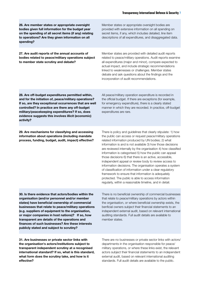| 26. Are member states or appropriate oversight<br>bodies given full information for the budget year<br>on the spending of all secret items (if any) relating<br>to operations? Are they given information on all<br>spending?                                                                                                                                                                                                                                          | Member states or appropriate oversight bodies are<br>provided with extensive information on all spending on<br>secret items, if any, which includes detailed, line item<br>descriptions of all expenditures, and disaggregated data.                                                                                                                                                                                                                                                                                                                                                                                                                                                                                                                                                              |
|------------------------------------------------------------------------------------------------------------------------------------------------------------------------------------------------------------------------------------------------------------------------------------------------------------------------------------------------------------------------------------------------------------------------------------------------------------------------|---------------------------------------------------------------------------------------------------------------------------------------------------------------------------------------------------------------------------------------------------------------------------------------------------------------------------------------------------------------------------------------------------------------------------------------------------------------------------------------------------------------------------------------------------------------------------------------------------------------------------------------------------------------------------------------------------------------------------------------------------------------------------------------------------|
| 27. Are audit reports of the annual accounts of<br>bodies related to peace/military operations subject<br>to member state scrutiny and debate?                                                                                                                                                                                                                                                                                                                         | Member states are provided with detailed audit reports<br>related to peace/military operations. Audit reports examine<br>all expenditures (major and minor), compare expected to<br>actual impact, and include strategic recommendations<br>linked to weaknesses or challenges. Member states<br>debate and ask questions about the findings and the<br>incorporation of audit recommendations.                                                                                                                                                                                                                                                                                                                                                                                                   |
| 28. Are off-budget expenditures permitted within,<br>and for the initiation of, peace/military operations?<br>If so, are they exceptional occurrences that are well<br>controlled? In practice are there any off-budget<br>military/peacekeeping expenditures? If so, does<br>evidence suggests this involves illicit (economic)<br>activity?                                                                                                                          | All peace/military operation expenditure is recorded in<br>the official budget. If there are exceptions (for example,<br>for emergency expenditure), there is a clearly stated<br>manner in which they are recorded. In practice, off-budget<br>expenditures are rare.                                                                                                                                                                                                                                                                                                                                                                                                                                                                                                                            |
| 29. Are mechanisms for classifying and accessing<br>information about operations (including mandate<br>process, funding, budget, audit, impact) effective?                                                                                                                                                                                                                                                                                                             | There is policy and guidelines that clearly stipulate: 1) how<br>the public can access or request peace/military operations<br>related information produced by UN bodies; 2) what<br>information is and is not available 3) how those decisions<br>are reviewed internally by the organisation 4) how classified<br>information is categorised 5) how the public can appeal<br>those decisions 6) that there is an active, accessible,<br>independent appeal or review body to review access to<br>information decisions. The organisation operates a system<br>of classification of information under a clear regulatory<br>framework to ensure that information is adequately<br>protected. The public is able to access information<br>regularly, within a reasonable timeline, and in detail. |
| 30. Is there evidence that actors/bodies within the<br>organisation (and/or personnel and/or member<br>states) have beneficial ownership of commercial<br>businesses that relate to peace/military operations<br>(e.g. suppliers of equipment to the organisation,<br>or major companies in host nations)? If so, how<br>transparent are details of the operations and<br>finances of such businesses? Are these interests<br>publicly stated and subject to scrutiny? | There is no beneficial ownership of commercial businesses<br>that relate to peace/military operations by actors within<br>the organisation, or where beneficial ownership exists, the<br>benficial owners subject their financial statements to an<br>independent external audit, based on relevant international<br>auditing standards. Full audit details are available to<br>member states.                                                                                                                                                                                                                                                                                                                                                                                                    |
| 31. Are businesses or private sector links with<br>the organisation's actors/institutions subject to                                                                                                                                                                                                                                                                                                                                                                   | There are no businesses or private sector links with actors/<br>departments in the organisation responsible for peace/                                                                                                                                                                                                                                                                                                                                                                                                                                                                                                                                                                                                                                                                            |

transparent independent scrutiny at a recognised international standard? If so, what is this standard, what form does the scrutiny take, and how is it effective?

military operations, or where these links exist, the relevant actors subject their financial statements to an independent external audit, based on relevant international auditing standards. Full audit details are available to the public.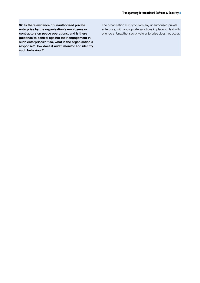32. Is there evidence of unauthorised private enterprise by the organisation's employees or contractors on peace operations, and is there guidance to control against their engagement in such enterprises? If so, what is the organisation's response? How does it audit, monitor and identify such behaviour?

The organisation strictly forbids any unauthorised private enterprise, with appropriate sanctions in place to deal with offenders. Unauthorised private enterprise does not occur.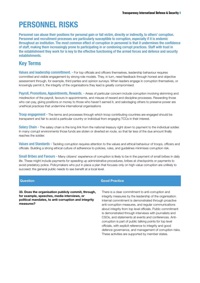# PERSONNEL RISKS

Personnel can abuse their positions for personal gain or fall victim, directly or indirectly, to others' corruption. Personnel and recruitment processes are particularly susceptible to corruption, especially if it is endemic throughout an institution. The most common effect of corruption in personnel is that it undermines the confidence of staff, making them increasingly prone to participating in or condoning corrupt practices. Staff with trust in the establishment they work for is key to the effective functioning of the armed forces and defence and security establishments.

### Key Terms

Values and leadership committment. - For top officials and officers themselves, leadership behaviour requires committed and visible engagement by strong role models. They, in turn, need feedback through honest and objective assessment through, for example, third parties and opinion surveys. When leaders engage in corruption themselves, or knowingly permit it, the integrity of the organisations they lead is greatly compromised.

Payroll, Promotions, Appointments, Rewards. - Areas of particular concern include corruption involving skimming and misdirection of the payroll, favours in appointments, and misuse of reward and discipline processes. Rewarding those who can pay, giving positions or money to those who haven't earned it, and sabotaging others to preserve power are unethical practices that undermine international organisations

Troop engagement - The terms and processes through which troop contributing countries are engaged should be transparent and fair to avoid a particular country or individual from engaging TCCs in their interest.

Salary Chain - The salary chain is the long link from the national treasury right down to payment to the individual soldier. In many corrupt environments those funds are stolen or diverted en route, so that far less of the due amount finally reaches the soldier.

Values and Standards - Tackling corruption requires attention to the values and ethical behaviour of troops, officers and officials. Building a strong ethical culture of adherence to policies, rules, and guidelines minimises corruption risk.

Small Bribes and Favours - Many citizens' experience of corruption is likely to be in the payment of small bribes in daily life. These might include payments for speeding up administrative procedures, bribes at checkpoints or payments to avoid predatory police. Policymakers who put in place a plan that focuses only on high-value corruption are unlikely to succeed; the general public needs to see benefit at a local level.

33. Does the organisation publicly commit, through, for example, speeches, media interviews, or political mandates, to anti-corruption and integrity measures?

### **Question Good Practice**

There is a clear commitment to anti-corruption and integrity measures by the leadership of the organisation. Internal commitment is demonstrated through proactive anti-corruption measures, and regular communications about integrity from top level officials. Public commitment is demonstrated through interviews with journalists and CSOs, and statements at events and conferences. Anticorruption is part of public talking points for top level officials, with explicit reference to integrity and good defence governance, and management of corruption risks. These activities are supported by member states.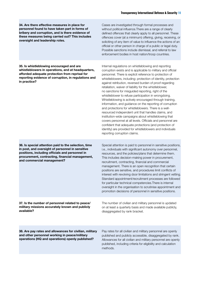34. Are there effective measures in place for personnel found to have taken part in forms of bribery and corruption, and is there evidence of these measures being carried out? This includes oversight and leadership roles.

Cases are investigated through formal processes and without political influence.There are a range of clearly defined offences that clearly apply to all personnel. These offences cover (at a minimum) offering, giving, receiving, or soliciting of any item of value to influence the actions of an official or other person in charge of a public or legal duty. Possible sanctions include dismissal, and referral to law enforcement bodies in host nation/troop countries.

35. Is whistleblowing encouraged and are whistleblowers in operations, and at headquarters, afforded adequate protection from reprisal for reporting evidence of corruption, in regulations and in practice?

Internal regulations on whistleblowing and reporting corruption exists and is applicable to military and official personnel. There is explicit reference to protection of whistleblowers, including: protection of identity, protection against retribution, reversed burden of proof regarding retaliation, waiver of liability for the whistleblower, no sanctions for misguided reporting, right of the whistleblower to refuse participation in wrongdoing. Whistleblowing is actively encouraged through training, information, and guidance on the reporting of corruption and protections for whistleblowers. There is a wellresourced independent unit that handles claims, and institution-wide campaigns about whistleblowing that covers personnel at all levels. Officials and personnel are confident that adequate protections (and protection of identity) are provided for whistleblowers and individuals reporting corruption claims.

36. Is special attention paid to the selection, time in post, and oversight of personnel in sensitive positions, including officials and personnel in procurement, contracting, financial management, and commercial management?

37. Is the number of personnel related to peace/ military missions accurately known and publicly available?

Special attention is paid to personnel in sensitive positions, i.e., individuals with significant autonomy over personnel, resources, and the policies/plans that determine them. This includes decision-making power in procurement, recruitment, contracting, financial and commercial management. There is an open recognition that certain positions are sensitive, and procedures limit conflicts of interest with revolving door limitations and stringent vetting. Standard appointment/recruitment processes are followed for particular technical competencies.There is internal oversight in the organisation to scrutinise appointment and promotion decisions of personnel in sensitive positions.

The number of civilian and military personnel is updated on at least a quarterly basis and made available publicly, disaggregated by rank bracket.

38. Are pay rates and allowances for civilian, military and other personnel working in peace/military operations (HQ and operations) openly published?

Pay rates for all civilian and military personnel are openly published and publicly accessible, disaggregated by rank. Allowances for all civilian and military personnel are openly published, including criteria for eligibility and calculation methods.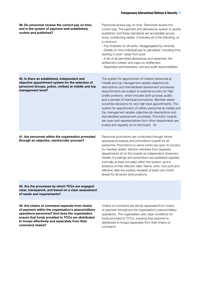| 39. Do personnel receive the correct pay on time,<br>and is the system of payment well established,<br>routine and published?                                                    | Personnel receive pay on time. Personnel receive the<br>correct pay. The payment and allowances system is openly<br>published, and these standards are acceptable across<br>troop contributing states. It includes all of the following, at<br>a minimum:<br>- Pay brackets for all ranks, disaggregated by seniority.<br>- Details on how individual pay is calculated, including time<br>starting in post / away from post<br>- A list of all permitted allowances and expenses, the<br>entitlement criteria, and caps on entitlement<br>- Separated administrative, unit and audit responsibilities.                                                                                      |
|----------------------------------------------------------------------------------------------------------------------------------------------------------------------------------|----------------------------------------------------------------------------------------------------------------------------------------------------------------------------------------------------------------------------------------------------------------------------------------------------------------------------------------------------------------------------------------------------------------------------------------------------------------------------------------------------------------------------------------------------------------------------------------------------------------------------------------------------------------------------------------------|
| 40. Is there an established, independent and<br>objective appointment system for the selection of<br>personnel (troops, police, civilian) at middle and top<br>management level? | The system for appointment of mission personnel at<br>middle and top management applies objective job<br>descriptions and standardised assessment processes.<br>Appointments are subject to external scrutiny for high<br>profile positions, which includes both process audits<br>and a sample of individual promotions. Member states<br>scrutinise decisions for very high level appointments. The<br>system for appointment of military personnel at middle and<br>top management applies objective job descriptions and<br>standardised assessment processes. Promotion boards<br>are open and representatives from other departments are<br>invited and regularly sit on the board. 40 |
| 41. Are personnel within the organisation promoted<br>through an objective, meritocratic process? -                                                                              | Personnel promotions are conducted through formal<br>appraisal processes and promotions boards for all<br>personnel. Promotions to senior ranks are open to scrutiny<br>by member states. Service members from separate<br>departments sit on the boards as independent observers.<br>Details of postings and promotions are published regularly<br>(normally at least annually) within the system, and in<br>advance of their effective date. Name, rank, new post and<br>effective date are publicly declared at least one month<br>ahead for all senior level positions.                                                                                                                  |
| 42. Are the processes by which TCCs are engaged<br>clear, transparent, and based on a clear assessment<br>of needs and requirements?                                             |                                                                                                                                                                                                                                                                                                                                                                                                                                                                                                                                                                                                                                                                                              |

43. Are chains of command separate from chains of payment within the organisation's peace/military operations personnel? And does the organisation ensure that funds provided to TCCs are distributed to troops effectively and separately from their command chains?

Chains of command are strictly separated from chains of payment throughout the organisation's peace/military operations. The organisation sets clear conditions for funds provided to TCCs, requiring that payment is distributed to troops separately from their chains of command.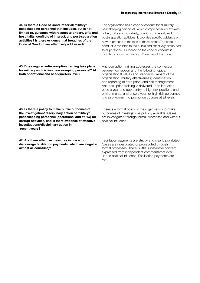44. Is there a Code of Conduct for all military/ peacekeeping personnel that includes, but is not limited to, guidance with respect to bribery, gifts and hospitality, conflicts of interest, and post-separation activities? Is there evidence that breaches of the Code of Conduct are effectively addressed?

45. Does regular anti-corruption training take place for military and civilian peacekeeping personnel? At both operational and headquarters level?

The organisation has a code of conduct for all military/ peacekeeping personnel, which comprehensively explains bribery, gifts and hospitality, conflicts of interest, and post-separation activities. It provides specific guidance on how to proceed in the face of these events.The code of conduct is available to the public and effectively distributed to all personnel. Guidance on the code of conduct is included in induction training. Breaches of the code

Anti-corruption training addresses the connection between corruption and the following topics: organisational values and standards, impact of the organisation, military effectiveness; identification and reporting of corruption, and risk management. Anti-corruption training is delivered upon induction, once a year and upon entry to high risk positions and environments, and once a year for high risk personnel. It is also woven into promotion courses at all levels.

46. Is there a policy to make public outcomes of the investigation/ disciplinary action of military/ peacekeeping personnel (operational and at HQ) for corrupt activities, and is there evidence of effective investigations/disciplinary action in recent years?

47. Are there effective measures in place to discourage facilitation payments (which are illegal in almost all countries)?

There is a formal policy of the organisation to make outcomes of investigations publicly available. Cases are investigated through formal processes and without political influence.

Facilitation payments are strictly and clearly prohibited. Cases are investigated or prosecuted through formal processes. There is little substantive concern expressed from independent commentators over undue political influence. Facilitation payments are rare.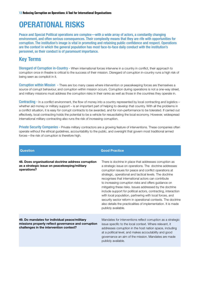# OPERATIONAL RISKS

Peace and Special Political operations are complex—with a wide array of actors, a constantly changing environment, and often serious consequences. Their complexity means that they are rife with opportunities for corruption. The institution's image is vital in promoting and retaining public confidence and respect. Operations are the context in which the general population has most face-to-face daily conduct with the institution's personnel, so their conduct is of paramount importance.

# Key Terms

Disregard of Corruption in-Country - When international forces intervene in a country in conflict, their approach to corruption once in theatre is critical to the success of their mission. Disregard of corruption in-country runs a high risk of being seen as complicit in it.

Corruption within Mission - There are too many cases where intervention or peacekeeping forces are themselves a source of corrupt behaviour, and corruption within mission occurs. Corruption during operations is not a one-way street, and military missions must address the corruption risks in their ranks as well as those in the countries they operate in.

Contracting - In a conflict environment, the flow of money into a country represented by local contracting and logistics – whether aid money or military support – is an important part of helping to develop that country. With all the problems in a conflict situation, it is easy for corrupt contracts to be awarded, and for non-performance to be tolerated. If carried out effectively, local contracting holds the potential to be a vehicle for resuscitating the local economy. However, widespread international military contracting also runs the risk of increasing corruption.

Private Security Companies - Private military contractors are a growing feature of interventions. These companies often operate without the ethical guidelines, accountability to the public, and oversight that govern most traditional armed forces—the risk of corruption is therefore high.

| <b>Question</b>                                                                                                                                 | <b>Good Practice</b>                                                                                                                                                                                                                                                                                                                                                                                                                                                                                                                                                                                                                                                                                       |
|-------------------------------------------------------------------------------------------------------------------------------------------------|------------------------------------------------------------------------------------------------------------------------------------------------------------------------------------------------------------------------------------------------------------------------------------------------------------------------------------------------------------------------------------------------------------------------------------------------------------------------------------------------------------------------------------------------------------------------------------------------------------------------------------------------------------------------------------------------------------|
| 48. Does organisational doctrine address corruption<br>as a strategic issue on peacekeeping/military<br>operations?                             | There is doctrine in place that addresses corruption as<br>a strategic issue on operations. The doctrine addresses<br>corruption issues for peace and conflict operations at<br>strategic, operational and tactical levels. The doctrine<br>recognises that international actors can contribute<br>to increasing corruption risks and offers guidance on<br>mitigating these risks. Issues addressed by the doctrine<br>include support for political actors, contracting, interaction<br>with local population, partnering with local forces, and<br>security sector reform in operational contexts. The doctrine<br>also details the practicalities of implementation. It is made<br>publicly available. |
| 49. Do mandates for individual peace/military<br>missions properly reflect governance and corruption<br>challenges in the intervention context? | Mandates for interventions reflect corruption as a strategic<br>issue specific to the local context. Where relevant, it<br>addresses corruption in the host nation space, including<br>at a political level, and makes accoutability and good<br>governance an aim of the mission. Mandates are made<br>publicly available.                                                                                                                                                                                                                                                                                                                                                                                |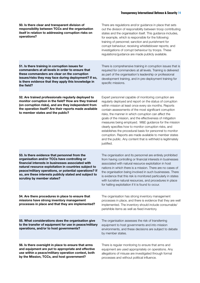| 50. Is there clear and transparent division of<br>responsibility between TCCs and the organisation<br>itself in relation to addressing corruption risks on<br>operations?                                                                                                                                                                                     | There are regulations and/or guidance in place that sets<br>out the division of responsibility between troop contributing<br>states and the organisation itself. This guidance includes,<br>for example, which is responsible for the following:<br>training of personnel; sanction and punishment for<br>corrupt behaviour; receiving whistleblower reports; and<br>investigations of corrupt behaviour by troops. These<br>regulations/guidance are made publicly available.                                                                                                                                                                                                       |
|---------------------------------------------------------------------------------------------------------------------------------------------------------------------------------------------------------------------------------------------------------------------------------------------------------------------------------------------------------------|--------------------------------------------------------------------------------------------------------------------------------------------------------------------------------------------------------------------------------------------------------------------------------------------------------------------------------------------------------------------------------------------------------------------------------------------------------------------------------------------------------------------------------------------------------------------------------------------------------------------------------------------------------------------------------------|
| 51. Is there training in corruption issues for<br>commanders at all levels in order to ensure that<br>these commanders are clear on the corruption<br>issues/risks they may face during deployment? If so,<br>is there evidence that they apply this knowledge in<br>the field?                                                                               | There is comprehensive training in corruption issues that is<br>required for commanders at all levels. Training is delivered<br>as part of the organisation's leadership or professional<br>development training, and in pre-deployment training for<br>specific missions.                                                                                                                                                                                                                                                                                                                                                                                                           |
| 52. Are trained professionals regularly deployed to<br>monitor corruption in the field? How are they trained<br>(on corruption risks), and are they independent from<br>the operation itself? Are their reports made available<br>to member states and the public?                                                                                            | Expert personnel capable of monitoring corruption are<br>regularly deployed and report on the status of corruption<br>within mission at least once every six months. Reports<br>contain assessments of the most significant corruption<br>risks, the manner in which corruption can affect the<br>goals of the mission, and the effectiveness of mitigation<br>measures being employed. M&E guidance for the mission<br>clearly specifies how to monitor corruption risks, and<br>establishes the procedural basis for personnel to monitor<br>corruption. Reports are made available to member states<br>and the public. Any content that is withheld is legitimately<br>justified. |
| 53. Is there evidence that personnel from the<br>organisation and/or TCCs have controlling or<br>financial interests in businesses associated with<br>natural resource exploitation in countries subject to<br>peace/military operations, or potential operations? If<br>so, are these interests publicly stated and subject to<br>scrutiny by member states? | The organisation and its personnel are entirely prohibited<br>from having controlling or financial interests in businesses<br>associated with natural resource exploitation in host<br>nations in which there is a mission. There are no cases of<br>the organisation being involved in such businesses. There<br>is evidence that this risk is monitored particularly in states<br>with lucrative natural resources, and procedures in place<br>for halting exploitation if it is found to occur.                                                                                                                                                                                   |
| 54. Are there procedures in place to ensure that<br>missions have strong inventory management<br>processes in place and that they are implemented?                                                                                                                                                                                                            | The organisation has strong inventory management<br>processes in place, and there is evidence that they are well<br>implemented. The inventory should include consumable/<br>perishible items as well as fixed inventory.                                                                                                                                                                                                                                                                                                                                                                                                                                                            |
| 55. What considerations does the organisation give<br>to the transfer of equipment for use in peace/military<br>operations, and/or to host governments?                                                                                                                                                                                                       | The organisation assesses the risk of transferring<br>equipment to host governments and into mission<br>environments, and these decisions are subject to debate<br>by member states.                                                                                                                                                                                                                                                                                                                                                                                                                                                                                                 |
| 56. Is there oversight in place to ensure that arms<br>and equipment are put to appropriate and effective<br>use within a peace/military operation context, both<br>by the Mission, TCCs, and host government?                                                                                                                                                | There is regular monitoring to ensure that arms and<br>equipment are used appropriately on operations. Any<br>allegations of misuse are investigated through formal<br>processes and without political influence.                                                                                                                                                                                                                                                                                                                                                                                                                                                                    |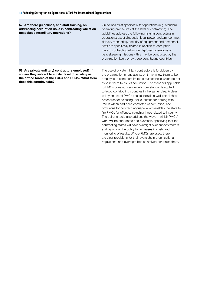57. Are there guidelines, and staff training, on addressing corruption risks in contracting whilst on peacekeeping/military operations?

Guidelines exist specifically for operations (e.g. standard operating procedures at the level of contracting). The guidelines address the following risks in contracting in operations: asset disposals, local power brokers, contract delivery monitoring, security of equipment and personnel. Staff are specifically trained in relation to corruption risks in contracting whilst on deployed operations or peacekeeping missions - this may be conducted by the organisation itself, or by troop contributing countries.

58. Are private (military) contractors employed? If so, are they subject to similar level of scrutiny as the armed forces of the TCCs and PCCs? What form does this scrutiny take?

The use of private military contractors is forbidden by the organisation's regulations, or it may allow them to be employed in extremely limited circumstances which do not expose them to risk of corruption. The standard applicable to PMCs does not vary widely from standards applied to troop contributing countries in the same roles. A clear policy on use of PMCs should include a well-established procedure for selecting PMCs, criteria for dealing with PMCs which had been convicted of corruption, and provisions for contract language which enables the state to fire PMCs for offence, including those related to integrity. The policy should also address the ways in which PMCs' work will be contracted and overseen, specifying that the contracting states will have oversight over subcontractors and laying out the policy for increases in costs and monitoring of results. Where PMCs are used, there are clear provisions for their oversight in organisational regulations, and oversight bodies actively scrutinise them.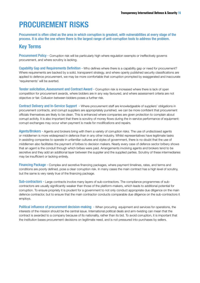# PROCUREMENT RISKS

Procurement is often cited as the area in which corruption is greatest, with vulnerabilities at every stage of the process. It is also the one where there is the largest range of anti-corruption tools to address the problem.

# Key Terms

Procurement Policy - Corruption risk will be particularly high where regulation exempts or ineffectively governs procurement, and where scrutiny is lacking.

Capability Gap and Requirements Definition - Who defines where there is a capability gap or need for procurement? Where requirements are backed by a solid, transparent strategy, and where openly published security classifications are applied to defence procurement, we may be more comfortable that corruption prompted by exaggerated and inaccurate 'requirements' will be averted.

Tender solicitation, Assessment and Contract Award - Corruption risk is increased where there is lack of open competition for procurement awards, where bidders are in any way favoured, and where assessment criteria are not objective or fair. Collusion between bidders poses a further risk.

Contract Delivery and In-Service Support - Where procurement staff are knowledgeable of suppliers' obligations in procurement contracts, and corrupt suppliers are appropriately punished, we can be more confident that procurement officials themselves are likely to be clean. This is enhanced where companies are given protection to complain about corrupt activity. It is also important that there is scrutiny of money flows during the in-service performance of equipment: corrupt exchanges may occur when payment is made for modifications and repairs.

Agents/Brokers - Agents and brokers bring with them a variety of corruption risks. The use of undisclosed agents or middlemen is more widespread in defence than in any other industry. Whilst representatives have legitimate tasks in assisting companies to operate in unfamiliar cultures and styles of government, there is no doubt that the use of middlemen also facilitates the payment of bribes to decision makers. Nearly every case of defence sector bribery shows that an agent is the conduit through which bribes were paid. Arrangements involving agents and brokers tend to be secretive and they add an additional layer between the supplier and the supplied parties. Scrutiny of these intermediaries may be insufficient or lacking entirely.

Financing Package - Complex and secretive financing packages, where payment timelines, rates, and terms and conditions are poorly defined, pose a clear corruption risk. In many cases the main contract has a high level of scrutiny, but the same is very rarely true of the financing package.

Sub-contractors - Large contracts involve many layers of sub-contractors. The compliance programmes of subcontractors are usually significantly weaker than those of the platform-makers, which leads to additional potential for corruption. To ensure propriety it is prudent for a government to not only conduct appropriate due diligence on the main defence contractor, but to ensure that the main contractor conducts comparable due diligence on the sub-contractors it employs.

Political influence of procurement decision-making - When procuring equipment and services for operations, the interests of the mission should be the central issue. International political deals and arm-twisting can mean that the contract is awarded to a company because of its nationality, rather than its bid. To avoid corruption, it is important that the institution bases procurement decisions on legitimate need, and is not pressured into purchases by sellers.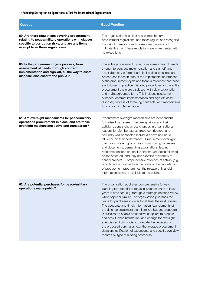### **17 Reducing Corruption on Operations: A Tool for International Organisations**

| <b>Question</b>                                                                                                                                                                           | <b>Good Practice</b>                                                                                                                                                                                                                                                                                                                                                                                                                                                                                                                                                                                                                                                                                                                                                                                    |
|-------------------------------------------------------------------------------------------------------------------------------------------------------------------------------------------|---------------------------------------------------------------------------------------------------------------------------------------------------------------------------------------------------------------------------------------------------------------------------------------------------------------------------------------------------------------------------------------------------------------------------------------------------------------------------------------------------------------------------------------------------------------------------------------------------------------------------------------------------------------------------------------------------------------------------------------------------------------------------------------------------------|
| 59. Are there regulations covering procurement<br>relating to peace/military operations with clauses<br>specific to corruption risks, and are any items<br>exempt from these regulations? | The organisation has clear and comprehensive<br>procurement regulations, and these regulations recognise<br>the risk of corruption and makes clear provisions to<br>mitigate this risk. These regulations are implemented with<br>no exceptions.                                                                                                                                                                                                                                                                                                                                                                                                                                                                                                                                                        |
| 60. Is the procurement cycle process, from<br>assessment of needs, through contract<br>implementation and sign-off, all the way to asset<br>disposal, disclosed to the public?            | The entire procurement cycle, from assessment of needs<br>through to contract implementation and sign off, and<br>asset disposal, is formalised. It also details policies and<br>procedures for each step of the implementation process<br>of the procurement cycle and there is evidence that these<br>are followed in practice. Detailed procedures for the entire<br>procurement cycle are disclosed, with clear explanation<br>and in disaggregated form. This includes assessment<br>of needs, contract implementation and sign-off, asset<br>disposal; process of awarding contracts, and mechanisms<br>for contract implementation.                                                                                                                                                              |
| 61. Are oversight mechanisms for peace/military<br>operations procurement in place, and are these<br>oversight mechanisms active and transparent?                                         | Procurement oversight mechanisms are independent,<br>formalised processes. They are apolitical and their<br>activity is consistent across changes in organisational<br>leadership. Member states, troop contributors, and<br>politically well-connected individuals have no undue<br>influence on their performance. Procurement oversight<br>mechanisms are highly active in summoning witnesses<br>and documents, demanding explanations, issuing<br>recommendations or conclusions that are being followed<br>or implemented, and they can exercise their ability to<br>cancel projects. Comprehensive evidence of activity (e.g.<br>reports, announcements in the press of the cancellation<br>of procurement programmes, the release of financial<br>information) is made available to the public. |
| 62. Are potential purchases for peace/military<br>operations made public?                                                                                                                 | The organisation publishes comprehensive forward<br>planning for potential purchases which extends at least<br>years in advance, e.g. through a strategic defence review,<br>white paper or similar. The organisation publishes the<br>plans for purchases in detail for at least the next 3 years.<br>The adequate and timely information (e.g. elements of<br>the defence equipment plan, itemized budget proposals)<br>is sufficient to enable prospective suppliers to prepare<br>and seek further information, and enough for oversight<br>agencies and civil society to debate the necessity of<br>the proposed purchases (e.g. the average procurement<br>duration, justification of exceptions, and specific overview<br>records by type of bidding procedure).                                 |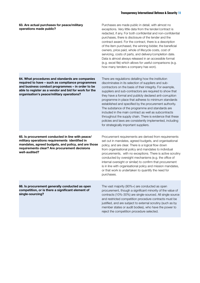| 63. Are actual purchases for peace/military<br>operations made public?                                                                                                                                                                                        | Purchases are made public in detail, with almost no<br>exceptions. Very little data from the tender/contract is<br>redacted, if any. For both confidential and non-confidential<br>purchases, there is disclosure of the tender and the<br>contract award. For the contract, there is a description<br>of the item purchased, the winning bidder, the beneficial<br>owners, price paid, whole of lifecycle costs, cost of<br>servicing, costs of parts, and delivery/completion date.<br>Data is almost always released in an accessible format<br>(e.g. excel file) which allows for useful comparisons (e.g.<br>how many tenders a company has won).                                              |
|---------------------------------------------------------------------------------------------------------------------------------------------------------------------------------------------------------------------------------------------------------------|-----------------------------------------------------------------------------------------------------------------------------------------------------------------------------------------------------------------------------------------------------------------------------------------------------------------------------------------------------------------------------------------------------------------------------------------------------------------------------------------------------------------------------------------------------------------------------------------------------------------------------------------------------------------------------------------------------|
| 64. What procedures and standards are companies<br>required to have - such as compliance programmes<br>and business conduct programmes - in order to be<br>able to register as a vendor and bid for work for the<br>organisation's peace/military operations? | There are regulations detailing how the institution<br>discriminates in its selection of suppliers and sub-<br>contractors on the basis of their integrity. For example,<br>suppliers and sub-contractors are required to show that<br>they have a formal and publicly declared anti-corruption<br>programme in place that adheres to minimum standards<br>established and specified by the procurement authority.<br>The substance of the programme and standards are<br>included in the main contract as well as subcontracts<br>throughout the supply chain. There is evidence that these<br>policies and laws are consistently implemented, including<br>for strategically important suppliers. |
| 65. Is procurement conducted in line with peace/<br>military operations requirements identified in<br>mandates, agreed budgets, and policy, and are those<br>requirements clear? Are procurement decisions<br>well-audited?                                   | Procurement requirements are derived from requirements<br>set out in mandates, agreed budgets, and organisational<br>policy, and are clear. There is a logical flow down<br>from organisational policy and mandates to individual<br>procurements, with no exceptions. There is active scrutiny<br>conducted by oversight mechanisms (e.g. the office of<br>internal oversight or similar) to confirm that procurement<br>is in line with organisational policy and mission mandates,<br>or that work is undertaken to quantify the need for<br>purchases.                                                                                                                                          |
| 66. Is procurement generally conducted as open<br>competition, or is there a significant element of<br>single-sourcing?                                                                                                                                       | The vast majority (90%+) are conducted as open<br>procurement, though a significant minority of the value of<br>contracts (10%-30%) are single-sourced. All single source<br>and restricted competition procedure contracts must be<br>justified, and are subject to external scrutiny (such as by<br>member states or audit bodies), who have the power to<br>reject the competition procedure selected.                                                                                                                                                                                                                                                                                           |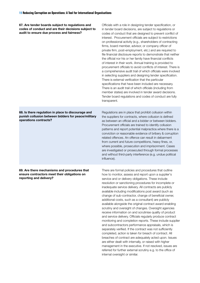67. Are tender boards subject to regulations and codes of conduct and are their decisions subject to

| codes of conduct and are their decisions subject to<br>audit to ensure due process and fairness?                                   | in tender board decisions, are subject to regulations or<br>codes of conduct that are designed to prevent conflict of<br>interest. Procurement officials are subject to restrictions<br>on professional activity (e.g., shareholders of contracting<br>firms, board member, advisor, or company officer of<br>private firm, post-employment, etc.) and are required to<br>file financial disclosure reports to demonstrate that neither<br>the official nor his or her family have financial conflicts<br>of interest in their work. Annual training is provided to<br>procurement officials to avoid conflicts of interest. There is<br>a comprehensive audit trail of which officials were involved<br>in selecting suppliers and designing tender specification.<br>There is external verification that the particular<br>specifications that have been included are necessary.<br>There is an audit trail of which officials (including from<br>member states) are involved in tender award decisions.<br>Tender board regulations and codes of conduct are fully<br>transparent.                                                                                                                                                          |
|------------------------------------------------------------------------------------------------------------------------------------|------------------------------------------------------------------------------------------------------------------------------------------------------------------------------------------------------------------------------------------------------------------------------------------------------------------------------------------------------------------------------------------------------------------------------------------------------------------------------------------------------------------------------------------------------------------------------------------------------------------------------------------------------------------------------------------------------------------------------------------------------------------------------------------------------------------------------------------------------------------------------------------------------------------------------------------------------------------------------------------------------------------------------------------------------------------------------------------------------------------------------------------------------------------------------------------------------------------------------------------------|
| 68. Is there regulation in place to discourage and<br>punish collusion between bidders for peace/military<br>operations contracts? | Regulations are in place that prohibit collusion within<br>the suppliers for contracts, where collusion is defined<br>as between an official and a bidder or between bidders.<br>Procurement officials are trained to identify collusion<br>patterns and report potential malpractice.where there is a<br>conviction or reasonable evidence of bribery & corruption<br>related offences. An offence can result in debarment<br>from current and future competitions, heavy fines, or,<br>where possible, prosecution and imprisonment. Cases<br>are investigated or prosecuted through formal processes<br>and without third-party interference (e.g. undue political<br>influence).                                                                                                                                                                                                                                                                                                                                                                                                                                                                                                                                                           |
| 69. Are there mechanisms and procedures that<br>ensure contractors meet their obligations on<br>reporting and delivery?            | There are formal policies and procedures that outline<br>how to monitor, assess and report upon a supplier's<br>service and or delivery obligations. These include<br>resolution or sanctioning procedures for incomplete or<br>inadequate service delivery. All contracts are publicly<br>available including modifications post award (such as<br>change of sub-contractor, change of beneficial owner,<br>additional costs, such as a consultant) are publicly<br>available alongside the original contract award enabling<br>scrutiny and oversight of changes. Oversight agencies<br>receive information on and scrutinise quality of product<br>and service delivery. Officials regularly produce contract<br>monitoring and completion reports. These include supplier<br>and subcontractors performance appraisals, which is<br>separately verified. If the contract was not sufficiently<br>completed, action is taken for breach of contract. All<br>breaches of contract are adequately acted upon. Issues<br>are either dealt with internally, or raised with higher<br>management in the executive. If not resolved, issues are<br>referred for further external scrutiny e.g. to the office of<br>internal oversight or similar. |

Officials with a role in designing tender specification, or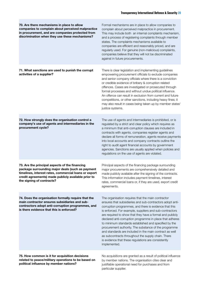| 70. Are there mechanisms in place to allow<br>companies to complain about perceived malpractice<br>in procurement, and are companies protected from<br>discrimination when they use these mechanisms?                                           | Formal mechanisms are in place to allow companies to<br>complain about perceived malpractice in procurement.<br>This may include both an internal complaints mechanism,<br>and a process of registering complaints through member<br>states. The complaints mechanisms available to<br>companies are efficient and reasonably priced, and are<br>regularly used. For genuine (non-malicious) complaints,<br>companies believe that they will not be discriminated<br>against in future procurements.                                                                                                                                                                    |
|-------------------------------------------------------------------------------------------------------------------------------------------------------------------------------------------------------------------------------------------------|-------------------------------------------------------------------------------------------------------------------------------------------------------------------------------------------------------------------------------------------------------------------------------------------------------------------------------------------------------------------------------------------------------------------------------------------------------------------------------------------------------------------------------------------------------------------------------------------------------------------------------------------------------------------------|
| 71. What sanctions are used to punish the corrupt<br>activities of a supplier?                                                                                                                                                                  | There is clear legislation and implementing guidelines<br>empowering procurement officials to exclude companies<br>and senior company officials where there is a conviction<br>or credible evidence of bribery & corruption related<br>offences. Cases are investigated or prosecuted through<br>formal processes and without undue political influence.<br>An offence can result in exclusion from current and future<br>competitions, or other sanctions, including heavy fines; it<br>may also result in cases being taken up by member states'<br>justice systems.                                                                                                  |
| 72. How strongly does the organisation control a<br>company's use of agents and intermediaries in the<br>procurement cycle?                                                                                                                     | The use of agents and intermediaries is prohibited, or is<br>regulated by a strict and clear policy which requires as<br>a minimum that anti-corruption clauses are included in<br>contracts with agents, companies register agents and<br>declare all forms of remuneration, agents receive payments<br>into local accounts and company contracts outline the<br>right to audit agent financial accounts by government<br>agencies. Sanctions are usually applied when policies and<br>regulations on the use of agents are violated.                                                                                                                                  |
| 73. Are the principal aspects of the financing<br>package surrounding major deals (such as payment<br>timelines, interest rates, commercial loans or export<br>credit agreements) made publicly available prior to<br>the signing of contracts? | Principal aspects of the financing package surrounding<br>major procurements are comprehensively detailed and<br>made publicly available after the signing of the contracts.<br>This information includes payment timelines, interest<br>rates, commercial loans or, if they are used, export credit<br>agreements.                                                                                                                                                                                                                                                                                                                                                     |
| 74. Does the organisation formally require that the<br>main contractor ensures subsidiaries and sub-<br>contractors adopt anti-corruption programmes, and<br>is there evidence that this is enforced?                                           | The organisation requires that the main contractor<br>ensures that subsidiaries and sub-contractors adopt anti-<br>corruption programmes, and there is evidence that this<br>is enforced. For example, suppliers and sub-contractors<br>are required to show that they have a formal and publicly<br>declared anti-corruption programme in place that adheres<br>to minimum standards established and specified by the<br>procurement authority. The substance of the programme<br>and standards are included in the main contract as well<br>as subcontracts throughout the supply chain. There<br>is evidence that these regulations are consistently<br>implemented. |
| 75. How common is it for acquisition decisions<br>related to peace/military operations to be based on<br>political influence by member nations?                                                                                                 | No acquisitions are granted as a result of political influence<br>by member nations. The organisation cites clear and<br>justifiable operational need for purchases and from<br>particular supplier.                                                                                                                                                                                                                                                                                                                                                                                                                                                                    |